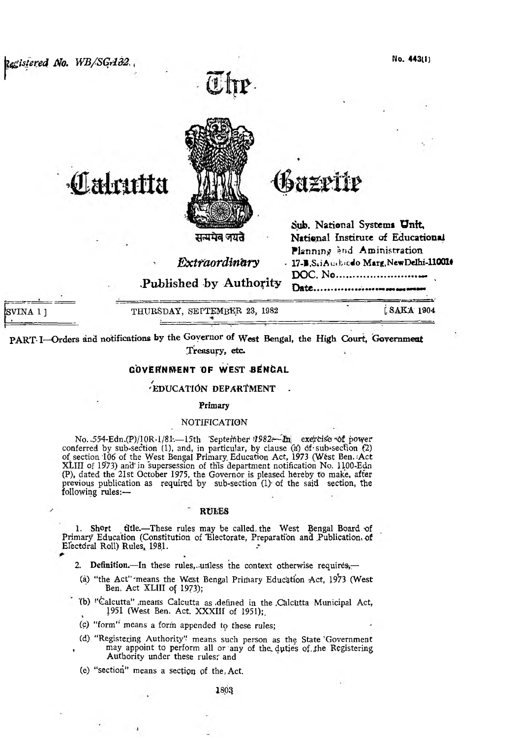egistered No. WB/SGA32.



# Labutta

सन्ममेव जयते

Extraordinary

Published by Authority

Date..................

azette

Sub. National Systems Unit.

DOC. No......................

National Institute of Educational Planning and Aministration

- 17-B, S.i.Auchedo Marg, New Delhi-110016

VINA 1 1

THURSDAY, SEPTEMBER 23, 1982

[SAKA 1904

PART I-Orders and notifications by the Governor of West Bengal, the High Court, Government Treasury, etc.

# **GOVERNMENT OF WEST BENGAL**

# **EDUCATION DEPARTMENT**

## Primary

## NOTIFICATION

No. 554-Edn.(P)/10R-1/81.—15th 'September 1982.—In exercise of power conferred by sub-section (1), and, in particular, by clause (a) of sub-section (2)<br>of section 106 of the West Bengal Primary Education Act, 1973 (West Ben.: Act<br>XLIII of 1973) and in supersession of this department notific (P), dated the 21st October 1975, the Governor is pleased hereby to make, after previous publication as required by sub-section (1) of the said section, the following rules:-

#### **RULES**

1. Short title.-These rules may be called the West Bengal Board of Primary Education (Constitution of Electorate, Preparation and Publication of Electoral Roll) Rules, 1981.

2. Definition. In these rules, unless the context otherwise requires,

- (a) "the Act" means the West Bengal Primary Education Act, 1973 (West Ben. Act XLIII of 1973);
- (b) "Calcutta" means Calcutta as defined in the Calcutta Municipal Act, 1951 (West Ben. Act. XXXIII of 1951);
- (c) "form" means a form appended to these rules;
- (d) "Registering Authority" means such person as the State 'Government may appoint to perform all or any of the duties of the Registering Authority under these rules; and
- (e) "section" means a section of the Act.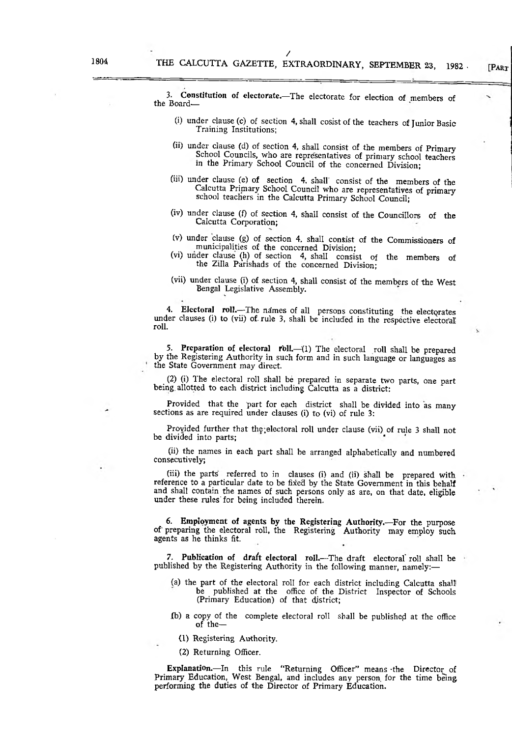[PART

3. Constitution of electorate.—The electorate for election of members of the Board—

/

- (i) under clause (c) of section 4, shall cosistofthe teachers of Junior Basic Training Institutions;
- (ii) under clause (d) of section 4, shall consist of the members of Primary School Councils, who are representatives of primary school teachers m the Primary School Council of the concerned Division;
- (iii) under clause fe) of section 4, shall' consist of the members of the Calcutta Primary School Council who are representatives of primary school teachers in the Calcutta Primary School Council;
- (iv) under clause (f) of section 4, shall consist of the Councillors of the Calcutta Corporation;
- (v) under clause (g) of section 4. shall consist of the Commissioners of municipalities of the concerned Division;
- (vi) under clause (h) of section 4, shall consist of the members of the Zilla Parishads of the concerned Division;
- (vii) under clause (i) of section 4, shall consist of the members of the West Bengal Legislative Assembly.

4. Electoral roll.—The names of all persons constituting the electorates under clauses (i) to (vii) of-rule 3, shall be included in the respective electoral roll.

5. Preparation of electoral roll.—(1) The electoral roll shall be prepared by the Registering Authority in such form and in such language or languages as the State Government may direct.

(2) (i) The electoral roll shall be prepared in separate two parts, one part being, allotted to each district including Calcutta as a district:

Provided that the part for each district shall be divided into as many sections as are required under clauses (i) to (vi) of rule 3:

Provided further that the electoral roll under clause (vii) of rule 3 shall not be divided into parts;

(ii) the names in each part shall be arranged alphabetically and numbered consecutively;

(iii) the parts referred to in clauses (i) and (ii) shall be prepared with reference to a particular date to be fixed by the State Government in this behalf and shall contain the names of such persons only as are, on that date, eligible under these rules'for being included therein.

6. Employment of agents by the Registering Authority.—For the purpose of preparing the electoral roll, the Registering Authority may employ such agents as he thinks fit.

7. Publication of draft electoral roll.—The draft electoral roll shall be published by the Registering Authority in the following manner, namely:-

- (a) the part of the electoral roll for each district including Calcutta shall be published at the office of the District Inspector of Schools (Primary Education) of that district;
- (b) a copy of the complete electoral roll shall be published at the office of the—
	- (1) Registering Authority.
	- (2) Returning Officer.

Explanation.—In this rule "Returning Officer" means -the Director^ of Primary Education, West Bengal, and includes any person for the time being performing the duties of the Director of Primary Education.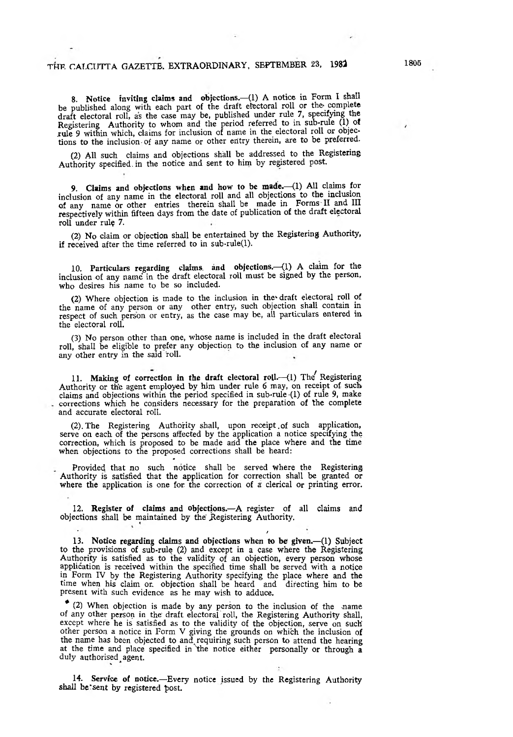8. Notice inviting claims and objections.-(1) A notice in Form I shall be published along with each part of the draft electoral roll or the complete draft electoral roll, as the case may be, published under rule 7, specifying the Registering Authority to whom and the period referred to in sub-rule  $(1)$  of xule 9 within which, claims for inclusion of name in the electoral roll or objections to the inclusion of any name or other entry therein, are to be preferred.

(2) All such claims and objections shall be addressed to the Registering Authority specified, in the notice and sent to him by registered post

9. Claims and objections when and how to be made.—(1) All claims for inclusion of any name in the electoral roll and all objections to the inclusion of any name or other entries therein shall be made in Forms II and III respectively within fifteen days from the date of publication of the draft electoral roll under rule 7.

(2) No claim or objection shall be entertained by the Registering Authority, if received after the time referred to in sub-rule(l).

10. Particulars regarding claims, and objections.—(1) A claim for the inclusion of any name in the draft electoral roll must be signed by the person, who desires his name to be so included.

(2) Where objection is made to the inclusion in the'draft electoral roll of the name of any person or any other entry, such objection shall contain in respect of such person or entry, as the case may be, ail particulars entered in the electoral roll.

(3) No person other than one, whose name is included in the draft electoral roll, shall be eligible to prefer any objection to the inclusion of any name or any other entry in the said roll.

11. Making of correction in the draft electoral roll.--(1) The Registering Authority or the agent employed by him under rule 6 may, on receipt of such claims and objections within the period specified in sub-rule (1) of rule 9, make corrections which he considers necessary for the preparation of the complete and accurate electoral roll.

(2). The Registering Authority shall, upon receipt of such application, serve on each of the persons affected by the application a notice specifying the correction, which is proposed to be made arid the place where and the time when objections to the proposed corrections shall be heard:

Provided that no such notice shall be served where the Registering Authority is satisfied that the application for correction shall be granted or where the application is one for the correction of a clerical or printing error.

12. Register of claims and objections.—A register of all claims and objections shall be maintained by the Registering Authority.

/ 13. Notice regarding claims and objections when to be given.—(1) Subject to the provisions of sub-rule (2) and except in a case where the Registering Authority is satisfied as to the validity of an objection, every person whose application is received within the specified time shall be served with a notice in Form IV by the Registering Authority specifying the place where and the time when his claim or objection shall be heard and directing him to be present with such evidence as he may wish to adduce.

 $(2)$  When objection is made by any person to the inclusion of the name of any other person in the draft electoral roll, the Registering Authority shall, except where he is satisfied as to the validity of the objection, serve on such other person a notice in Form V giving the grounds on which the inclusion of the name has been objected to and^ requiring such person to attend the hearing at the time and place specified in 'the notice either personally or through a duly authorised agent.

14. Servicc of notice.—Every notice issued by the Registering Authority shall be sent by registered post.

J.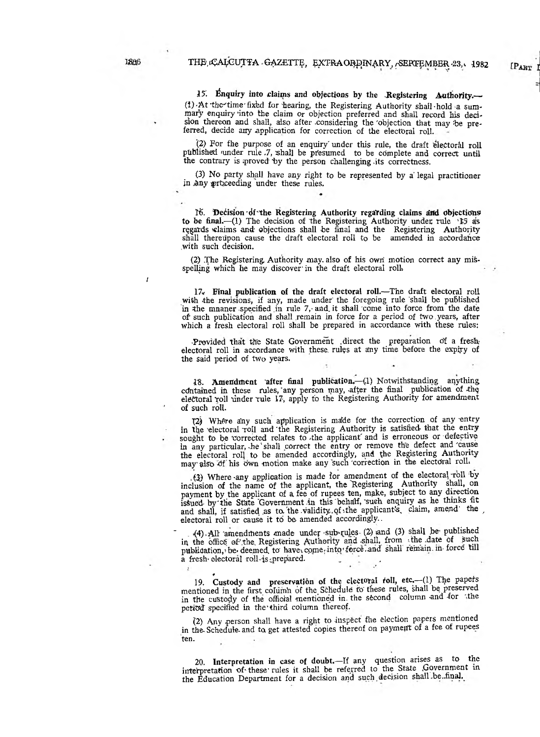[PART I

*15'.* Inquiry into claims and objections by the .Registering Authority.— (i) At the time fixed for hearing, the Registering Authority shall-hold a summary enquiry into the claim or objection preferred and shall record his decision thereon and shall, also after considering the objection that may be preferred, decide any application for correction of the electoral roll.

(2) For the purpose of an enquiry under this rule, the draft electoral roll ptibiished funder rule *J ,* shall be pfesumed to be cdmplete and correct until the contrary is proved by the person challenging its correctness.

(3) No party shall have any right to be represented by a legal practitioner in any proceeding under these rules.

16. Decision di the Registering Authority regarding claims and objections to be final.—(1) The decision of the Registering Authority under rule  $\cdot$ 15 as regards claims and objections shall be final and the Registering Authority shall thereupon cause the draft electoral roll to be amended in accordance .with such decision.

(2) The Registering. Authority may- also of his owri motion correct any misspelling which he may discover' in the draft electoral roll.

17. Final publication of the draft electoral roll.—The draft electoral roll with the revisions, if any, made under the foregoing rule shall be published in the mnaner specified in rule 7, and it shall come into force from the date of such publication arid shall remain in force for a period of two . years, after which a fresh electoral roll shall be prepared in accordance with these rules:

Provided that the State Government direct the preparation of a fresh electoral roll in accordance with these rules at any time before the expiry of the said period of two years.

18. Amendment 'after final publication.-(1) Notwithstanding anything contained in these rules, any person may, after the final publication of the electoral roll under rule 17, apply to the Registering Authority for amendment of such roll.

(2) Where any such application is made for the correction of any entry in the 'electoral Troll and 'the Registering Authority is satisfied that the entry sought to be corrected relates to the applicant and is erroneous or defective in any particular, -he' shall correct the entry or remove the defect and "cause the electoral roll to be amended accordingly, and the Registering Authority may also of his own motion make any such correction in the electoral roll.

(3) Where any application is made for amendment of the electoral roll by inclusion of the name of the applicant, the Registering Authority shall, on payment by the applicant of a fee of rupees ten, make, subject to any direction issued- by the State Government in this behalf, such enquiry as he thinks fit and shall, if satisfied as to the validity of the applicant's, claim, amend' the  $\lambda$ electoral roll or cause it to be amended accordingly..

(4) All amendments made under sub-rules (2) and (3) shall be published in the office of the Registering Authority and shall, from the date of such publication, be deemed to have come into force, and shall remain. in-force till a fresh electoral roll is prepared.

19. Custody and preservation of the clectoral roll, etc.—(1) The papers mentioned in the first column of the Schedule to these rules, shall be preserved in the custody of the official mentioned in the second column and for the peticd specified in the third column thereof.

(2) Any person shall have a right to inspect fhe election papers mentioned in the Schedule and to get attested copies thereof on payment of a fee of rupees ten.

20. Interpretation in case of doubt.—If any question arises as to the interpretation of these rules it shall be referred to the State .Government in the Education Department for a decision and such decision shall be final.

*I*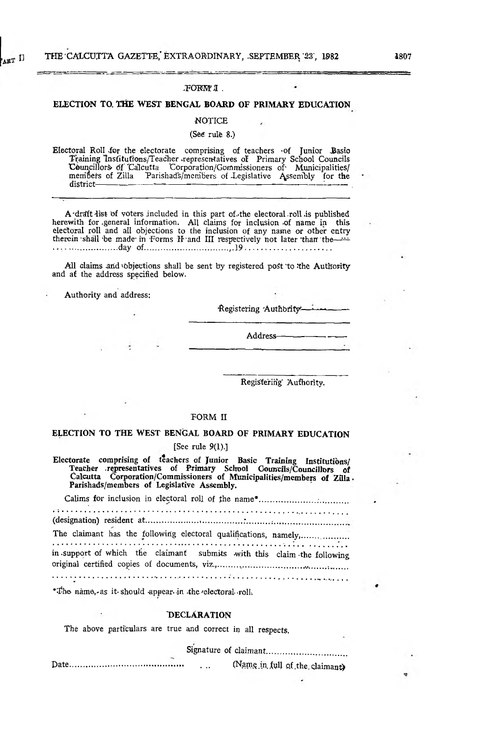#### FORM'I.

# ELECTION TO THE WEST BENGAL BOARD OF PRIMARY EDUCATION

#### **NOTICE**

## (See rule 8.)

Electoral Roll for the electorate comprising of teachers of Junior Basio<br>Training Institutions/Teacher representatives of Primary School Councils Councillors of Calcutta Corporation/Gommissioners of Municipalities/<br>members of Zilla Parishads/members of Legislative Assembly for the district-

A draft list of voters included in this part of the electoral roll is published A data here of voters included in this part distinct electoral for as published<br>herewith for general information. All claims for inclusion of name in this<br>electoral roll and all objections to the inclusion of any name or o 

All claims and objections shall be sent by registered post to the Authority and at the address specified below.

Authority and address:

Registering Authority

Address-

Registering Authority.

# FORM II

# ELECTION TO THE WEST BENGAL BOARD OF PRIMARY EDUCATION [See rule  $9(1).$ ]

Electorate comprising of teachers of Junior Basic Training Institutions/<br>Teacher representatives of Primary School Councils/Councillors of<br>Calcutta Corporation/Commissioners of Municipalities/members of Züla Parishads/members of Legislative Assembly.

in support of which the claimant submits with this claim the following 

\*The name, as it should appear in the electoral roll,

## **DECLÁRATION**

The above particulars are true and correct in all respects.

Signature of claimant.................................

(Name in full of the claimant)

٩Ņ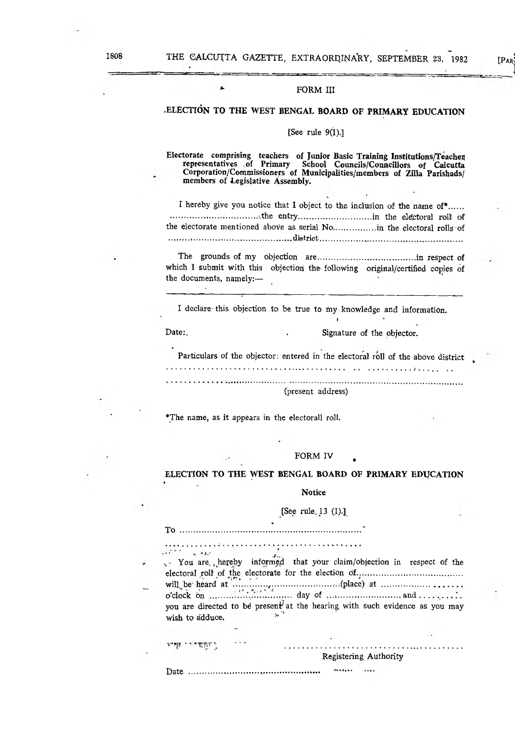>1

#### FORM III

# .ELECTION TO THE WEST BENGAL BOARD OF PRIMARY EDUCATION

# [See rule  $9(1).$ ]

Electorate comprising teachers of Junior Basic Training Institutions/Teachex representatives of Primary School Councils/Councillors of Calcutta representatives of Primary School Councils/Councillors of Calcutta<br>Corporation/Commissioners of Municipalities/members of Zilla Parishads/ members of Legislative Assembly.

I hereby give you notice that I object to the inclusion of the name of\*....... ......................................... -the entry................................... in the elefptoral roll of the electorate mentioned aboVe as serial No....................in the electoral rolls of ......... ................................................ district.................... ...............................................

The grounds of my objection are.............................................. in respect of which I submit with this objection the following original/certified copies of the documents, namely:—

I declare- this objection to be true to my knowledge and information.

Date: Signature of the objector.

Particulars of the objector: entered in the electoral roll of the above district

. . **. .** . . . . . . . . . .

*t*

(present address)

\*The name, as it appears in the electorall roll.

## FORM IV

# ELECTION TO THE WEST BENGAL BOARD OF PRIMARY EDUCATION

Notice

# [See rule, 13 (1).]^

To ...........................................' ..........................................■\*

 $\mathcal{A}^{(k+1)}$  , as a set You are, hereby informed that your claim/objection in respect of the electoral roll of the electorate for the election df.................................................. will^be heard at ................^............................ ...(place) at .......................... ............ o'clock bn .................................day of ..........................................a n d .......... you are directed to be present at the hearing with such evidence as you may wish to adduce.

Registering Authority

Date .............................. ............................... -V,,,,. ....

יַ זַחֲם־ יי אַ אִי